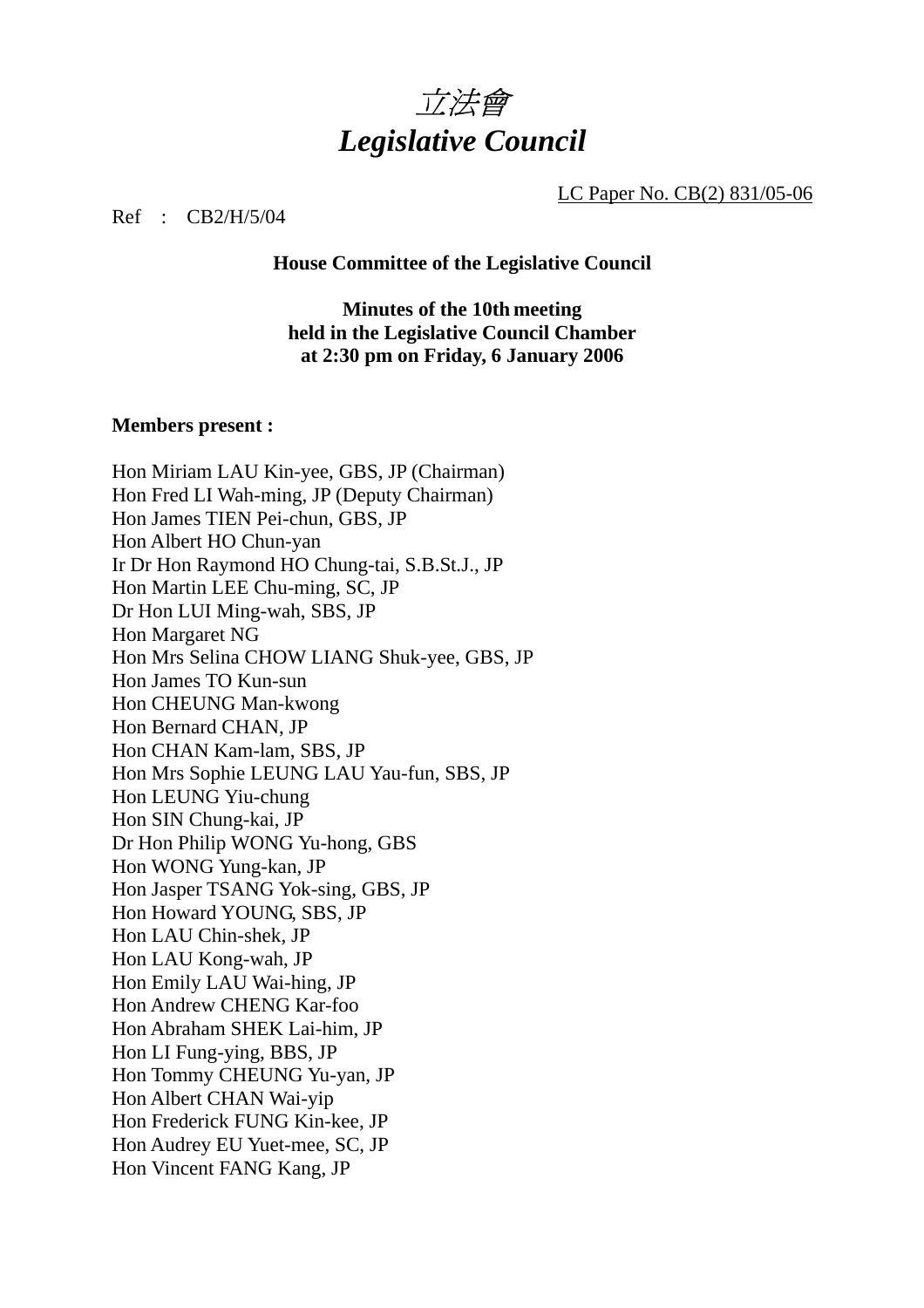

LC Paper No. CB(2) 831/05-06

Ref : CB2/H/5/04

**House Committee of the Legislative Council** 

**Minutes of the 10th meeting held in the Legislative Council Chamber at 2:30 pm on Friday, 6 January 2006** 

#### **Members present :**

Hon Miriam LAU Kin-yee, GBS, JP (Chairman) Hon Fred LI Wah-ming, JP (Deputy Chairman) Hon James TIEN Pei-chun, GBS, JP Hon Albert HO Chun-yan Ir Dr Hon Raymond HO Chung-tai, S.B.St.J., JP Hon Martin LEE Chu-ming, SC, JP Dr Hon LUI Ming-wah, SBS, JP Hon Margaret NG Hon Mrs Selina CHOW LIANG Shuk-yee, GBS, JP Hon James TO Kun-sun Hon CHEUNG Man-kwong Hon Bernard CHAN, JP Hon CHAN Kam-lam, SBS, JP Hon Mrs Sophie LEUNG LAU Yau-fun, SBS, JP Hon LEUNG Yiu-chung Hon SIN Chung-kai, JP Dr Hon Philip WONG Yu-hong, GBS Hon WONG Yung-kan, JP Hon Jasper TSANG Yok-sing, GBS, JP Hon Howard YOUNG, SBS, JP Hon LAU Chin-shek, JP Hon LAU Kong-wah, JP Hon Emily LAU Wai-hing, JP Hon Andrew CHENG Kar-foo Hon Abraham SHEK Lai-him, JP Hon LI Fung-ying, BBS, JP Hon Tommy CHEUNG Yu-yan, JP Hon Albert CHAN Wai-yip Hon Frederick FUNG Kin-kee, JP Hon Audrey EU Yuet-mee, SC, JP Hon Vincent FANG Kang, JP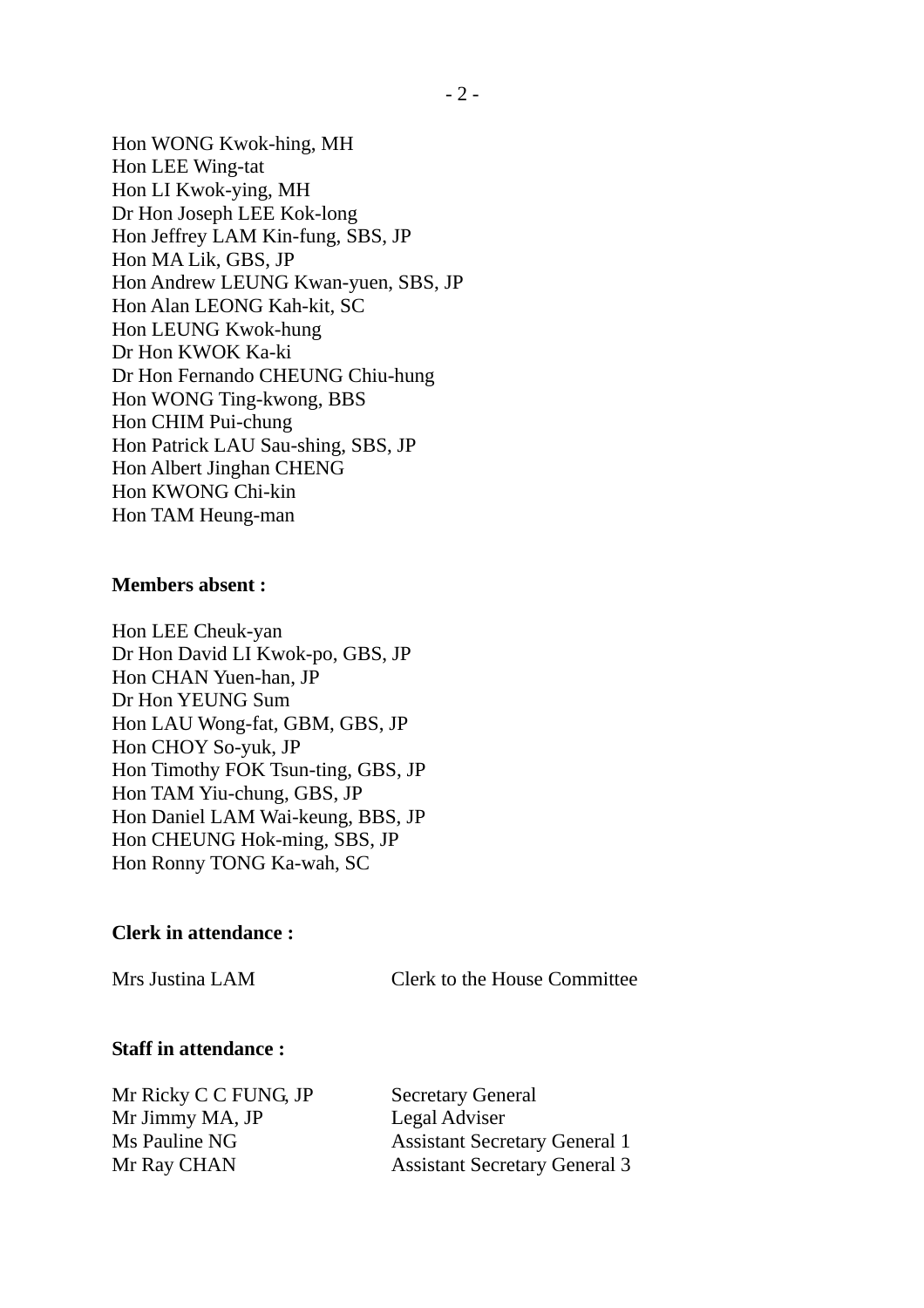Hon WONG Kwok-hing, MH Hon LEE Wing-tat Hon LI Kwok-ying, MH Dr Hon Joseph LEE Kok-long Hon Jeffrey LAM Kin-fung, SBS, JP Hon MA Lik, GBS, JP Hon Andrew LEUNG Kwan-yuen, SBS, JP Hon Alan LEONG Kah-kit, SC Hon LEUNG Kwok-hung Dr Hon KWOK Ka-ki Dr Hon Fernando CHEUNG Chiu-hung Hon WONG Ting-kwong, BBS Hon CHIM Pui-chung Hon Patrick LAU Sau-shing, SBS, JP Hon Albert Jinghan CHENG Hon KWONG Chi-kin Hon TAM Heung-man

#### **Members absent :**

Hon LEE Cheuk-yan Dr Hon David LI Kwok-po, GBS, JP Hon CHAN Yuen-han, JP Dr Hon YEUNG Sum Hon LAU Wong-fat, GBM, GBS, JP Hon CHOY So-yuk, JP Hon Timothy FOK Tsun-ting, GBS, JP Hon TAM Yiu-chung, GBS, JP Hon Daniel LAM Wai-keung, BBS, JP Hon CHEUNG Hok-ming, SBS, JP Hon Ronny TONG Ka-wah, SC

#### **Clerk in attendance :**

Mrs Justina LAM Clerk to the House Committee

### **Staff in attendance :**

Mr Ricky C C FUNG, JP Secretary General Mr Jimmy MA, JP Legal Adviser

Ms Pauline NG Assistant Secretary General 1 Mr Ray CHAN Assistant Secretary General 3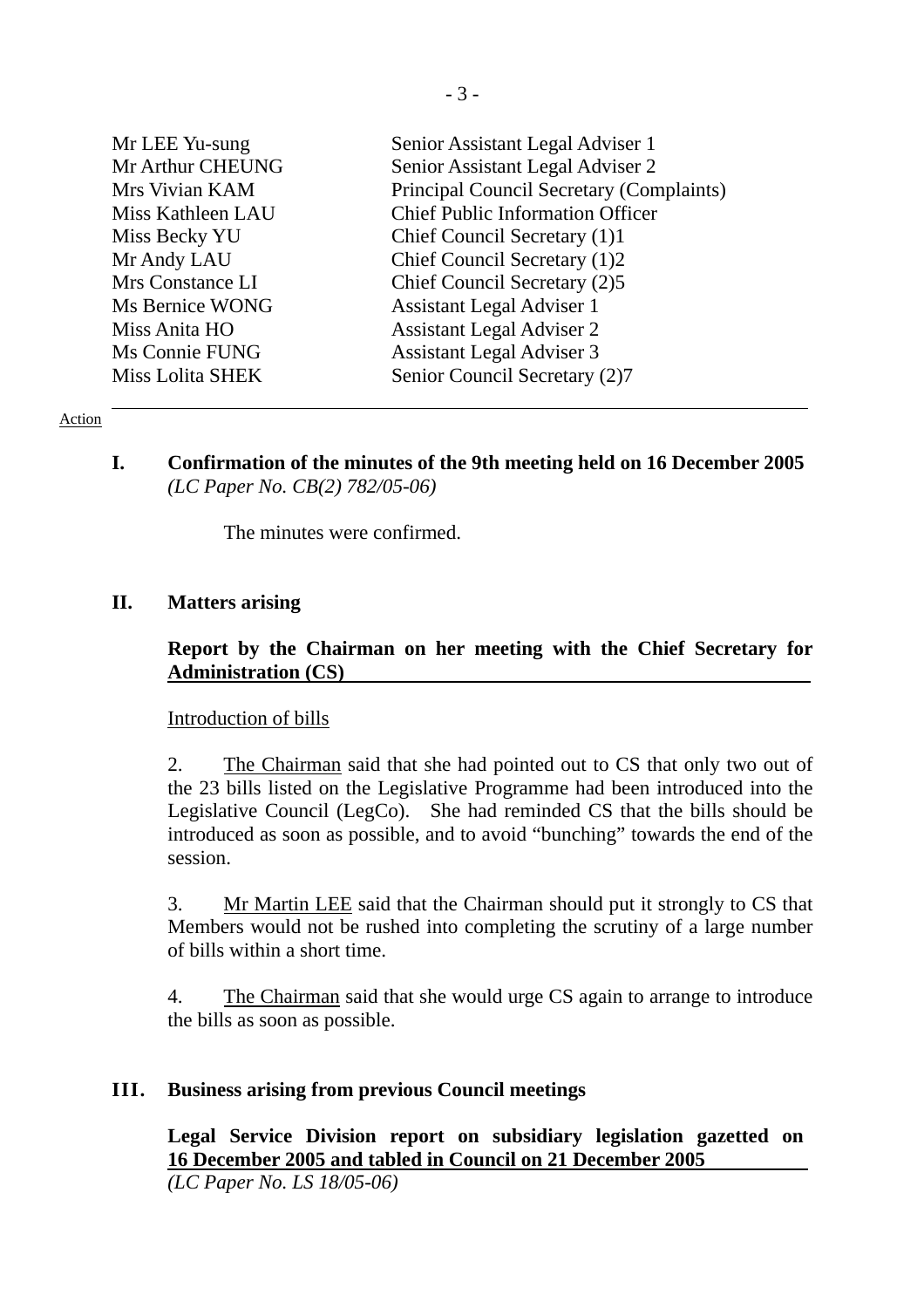| Mr LEE Yu-sung          | Senior Assistant Legal Adviser 1         |
|-------------------------|------------------------------------------|
| Mr Arthur CHEUNG        | Senior Assistant Legal Adviser 2         |
| Mrs Vivian KAM          | Principal Council Secretary (Complaints) |
| Miss Kathleen LAU       | <b>Chief Public Information Officer</b>  |
| Miss Becky YU           | Chief Council Secretary (1)1             |
| Mr Andy LAU             | Chief Council Secretary (1)2             |
| Mrs Constance LI        | Chief Council Secretary (2)5             |
| Ms Bernice WONG         | <b>Assistant Legal Adviser 1</b>         |
| Miss Anita HO           | <b>Assistant Legal Adviser 2</b>         |
| Ms Connie FUNG          | <b>Assistant Legal Adviser 3</b>         |
| <b>Miss Lolita SHEK</b> | Senior Council Secretary (2)7            |

#### Action

**I. Confirmation of the minutes of the 9th meeting held on 16 December 2005**  *(LC Paper No. CB(2) 782/05-06)* 

The minutes were confirmed.

## **II. Matters arising**

## **Report by the Chairman on her meeting with the Chief Secretary for Administration (CS)**

#### Introduction of bills

2. The Chairman said that she had pointed out to CS that only two out of the 23 bills listed on the Legislative Programme had been introduced into the Legislative Council (LegCo). She had reminded CS that the bills should be introduced as soon as possible, and to avoid "bunching" towards the end of the session.

3. Mr Martin LEE said that the Chairman should put it strongly to CS that Members would not be rushed into completing the scrutiny of a large number of bills within a short time.

4. The Chairman said that she would urge CS again to arrange to introduce the bills as soon as possible.

## **III. Business arising from previous Council meetings**

**Legal Service Division report on subsidiary legislation gazetted on 16 December 2005 and tabled in Council on 21 December 2005**  *(LC Paper No. LS 18/05-06)*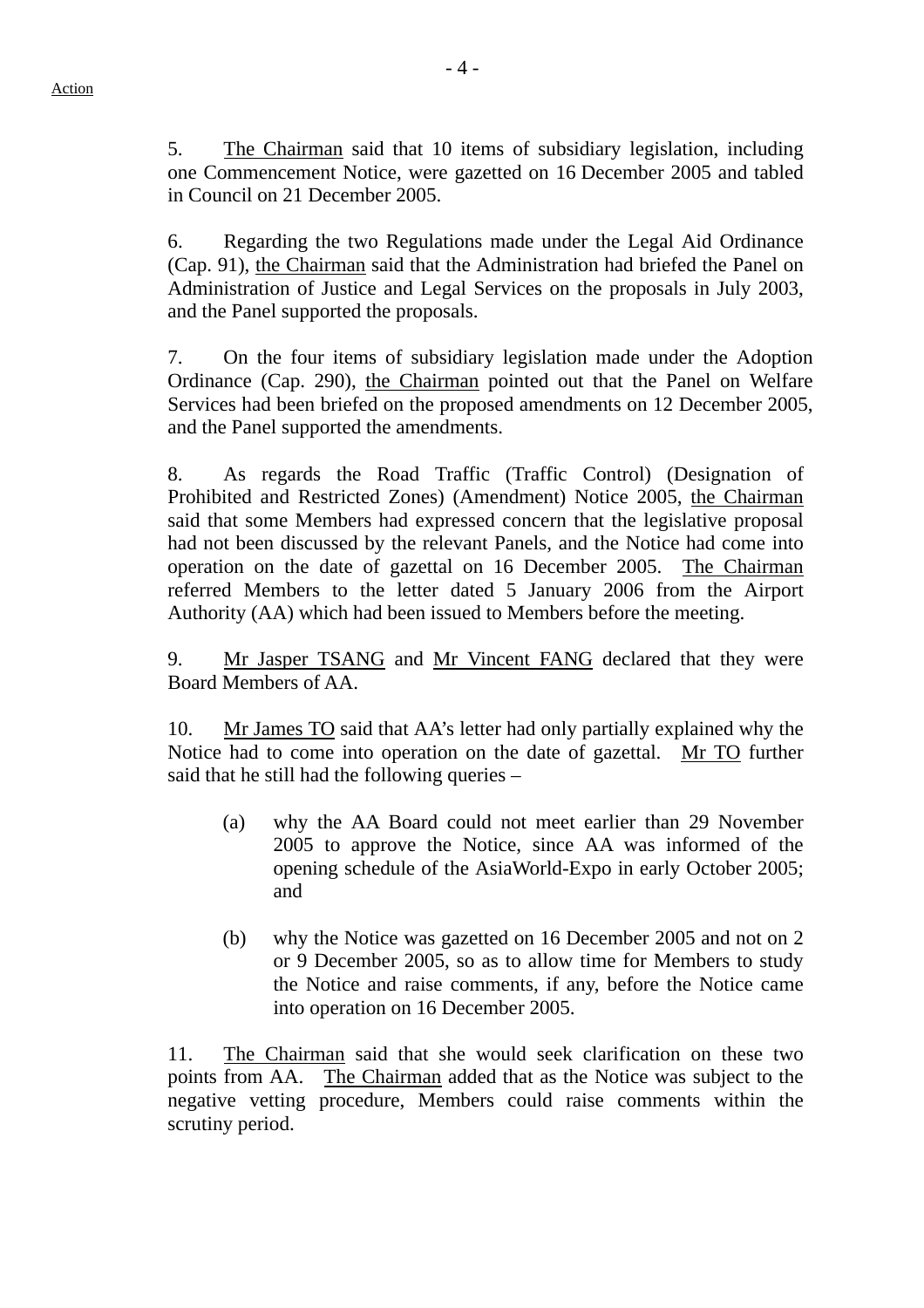5. The Chairman said that 10 items of subsidiary legislation, including one Commencement Notice, were gazetted on 16 December 2005 and tabled in Council on 21 December 2005.

6. Regarding the two Regulations made under the Legal Aid Ordinance (Cap. 91), the Chairman said that the Administration had briefed the Panel on Administration of Justice and Legal Services on the proposals in July 2003, and the Panel supported the proposals.

7. On the four items of subsidiary legislation made under the Adoption Ordinance (Cap. 290), the Chairman pointed out that the Panel on Welfare Services had been briefed on the proposed amendments on 12 December 2005, and the Panel supported the amendments.

8. As regards the Road Traffic (Traffic Control) (Designation of Prohibited and Restricted Zones) (Amendment) Notice 2005, the Chairman said that some Members had expressed concern that the legislative proposal had not been discussed by the relevant Panels, and the Notice had come into operation on the date of gazettal on 16 December 2005. The Chairman referred Members to the letter dated 5 January 2006 from the Airport Authority (AA) which had been issued to Members before the meeting.

9. Mr Jasper TSANG and Mr Vincent FANG declared that they were Board Members of AA.

10. Mr James TO said that AA's letter had only partially explained why the Notice had to come into operation on the date of gazettal. Mr TO further said that he still had the following queries –

- (a) why the AA Board could not meet earlier than 29 November 2005 to approve the Notice, since AA was informed of the opening schedule of the AsiaWorld-Expo in early October 2005; and
- (b) why the Notice was gazetted on 16 December 2005 and not on 2 or 9 December 2005, so as to allow time for Members to study the Notice and raise comments, if any, before the Notice came into operation on 16 December 2005.

11. The Chairman said that she would seek clarification on these two points from AA. The Chairman added that as the Notice was subject to the negative vetting procedure, Members could raise comments within the scrutiny period.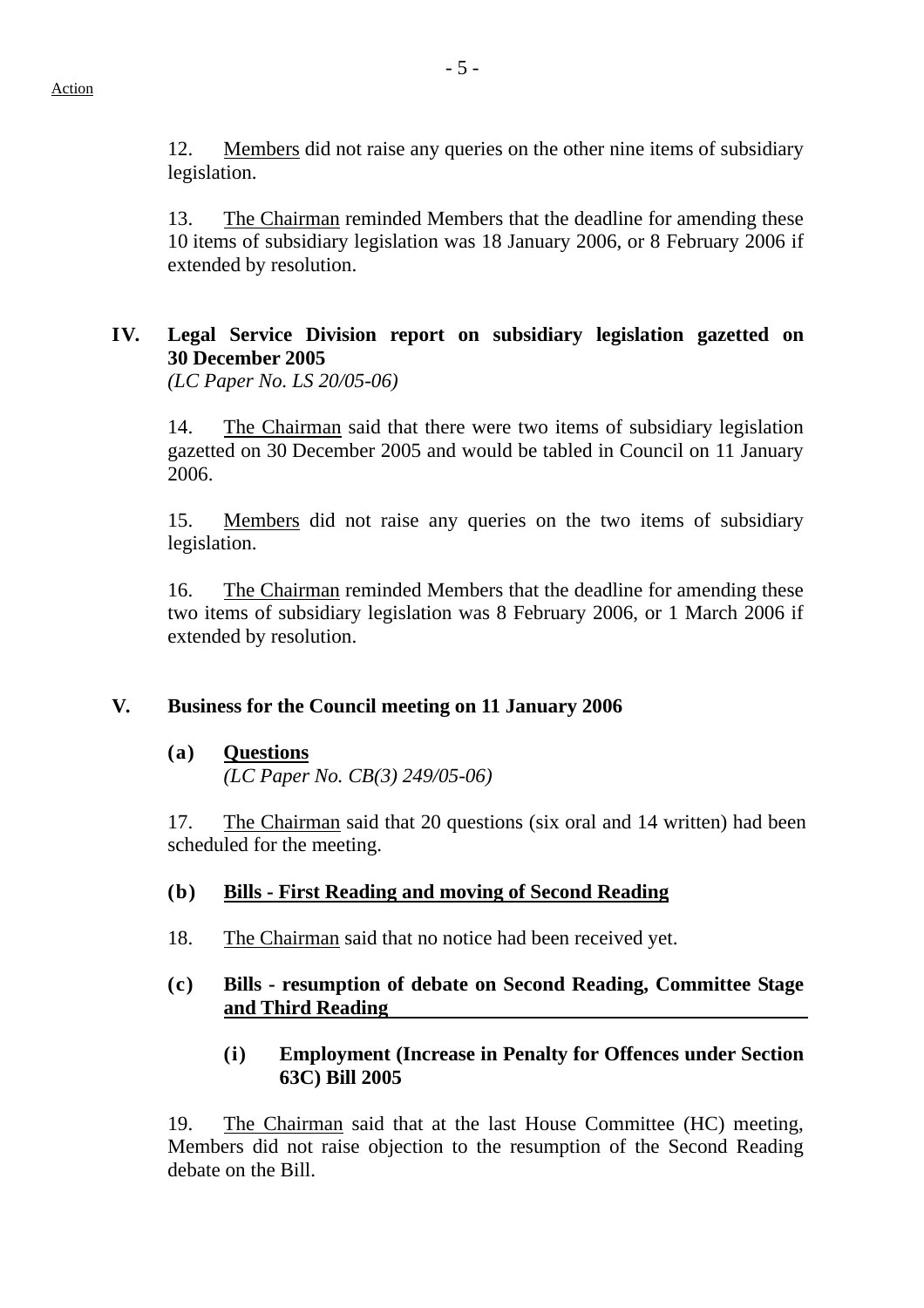12. Members did not raise any queries on the other nine items of subsidiary legislation.

13. The Chairman reminded Members that the deadline for amending these 10 items of subsidiary legislation was 18 January 2006, or 8 February 2006 if extended by resolution.

# **IV. Legal Service Division report on subsidiary legislation gazetted on 30 December 2005**

*(LC Paper No. LS 20/05-06)*

14. The Chairman said that there were two items of subsidiary legislation gazetted on 30 December 2005 and would be tabled in Council on 11 January 2006.

15. Members did not raise any queries on the two items of subsidiary legislation.

16. The Chairman reminded Members that the deadline for amending these two items of subsidiary legislation was 8 February 2006, or 1 March 2006 if extended by resolution.

## **V. Business for the Council meeting on 11 January 2006**

## **(a) Questions**

*(LC Paper No. CB(3) 249/05-06)* 

17. The Chairman said that 20 questions (six oral and 14 written) had been scheduled for the meeting.

## **(b) Bills - First Reading and moving of Second Reading**

18. The Chairman said that no notice had been received yet.

## **(c) Bills - resumption of debate on Second Reading, Committee Stage and Third Reading**

## **(i) Employment (Increase in Penalty for Offences under Section 63C) Bill 2005**

19. The Chairman said that at the last House Committee (HC) meeting, Members did not raise objection to the resumption of the Second Reading debate on the Bill.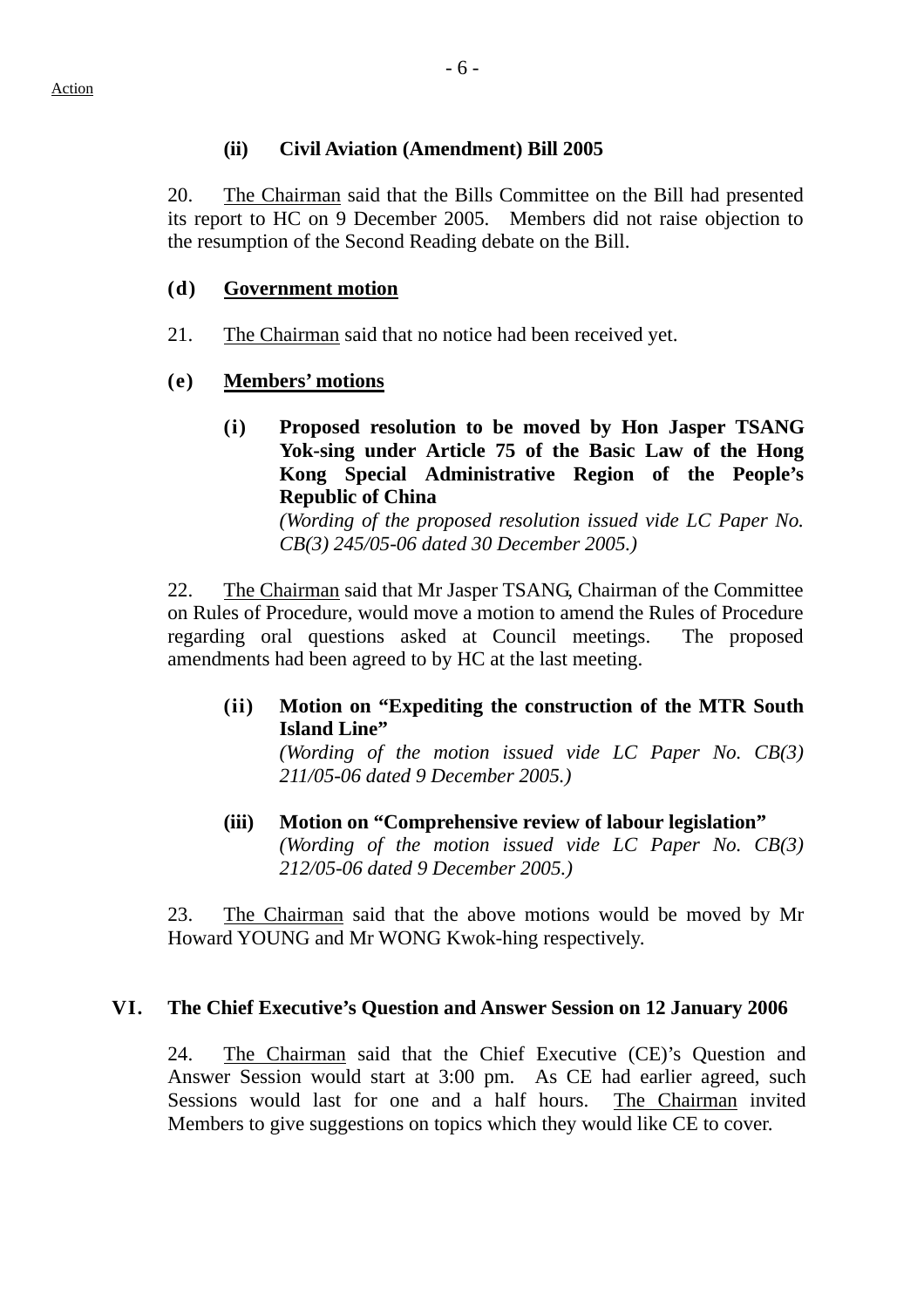### **(ii) Civil Aviation (Amendment) Bill 2005**

20. The Chairman said that the Bills Committee on the Bill had presented its report to HC on 9 December 2005. Members did not raise objection to the resumption of the Second Reading debate on the Bill.

### **(d) Government motion**

21. The Chairman said that no notice had been received yet.

## **(e) Members' motions**

**(i) Proposed resolution to be moved by Hon Jasper TSANG Yok-sing under Article 75 of the Basic Law of the Hong Kong Special Administrative Region of the People's Republic of China** 

*(Wording of the proposed resolution issued vide LC Paper No. CB(3) 245/05-06 dated 30 December 2005.)* 

22. The Chairman said that Mr Jasper TSANG, Chairman of the Committee on Rules of Procedure, would move a motion to amend the Rules of Procedure regarding oral questions asked at Council meetings. The proposed amendments had been agreed to by HC at the last meeting.

**(ii) Motion on "Expediting the construction of the MTR South Island Line"** 

*(Wording of the motion issued vide LC Paper No. CB(3) 211/05-06 dated 9 December 2005.)* 

**(iii) Motion on "Comprehensive review of labour legislation"**  *(Wording of the motion issued vide LC Paper No. CB(3) 212/05-06 dated 9 December 2005.)* 

23. The Chairman said that the above motions would be moved by Mr Howard YOUNG and Mr WONG Kwok-hing respectively.

## **VI. The Chief Executive's Question and Answer Session on 12 January 2006**

24. The Chairman said that the Chief Executive (CE)'s Question and Answer Session would start at 3:00 pm. As CE had earlier agreed, such Sessions would last for one and a half hours. The Chairman invited Members to give suggestions on topics which they would like CE to cover.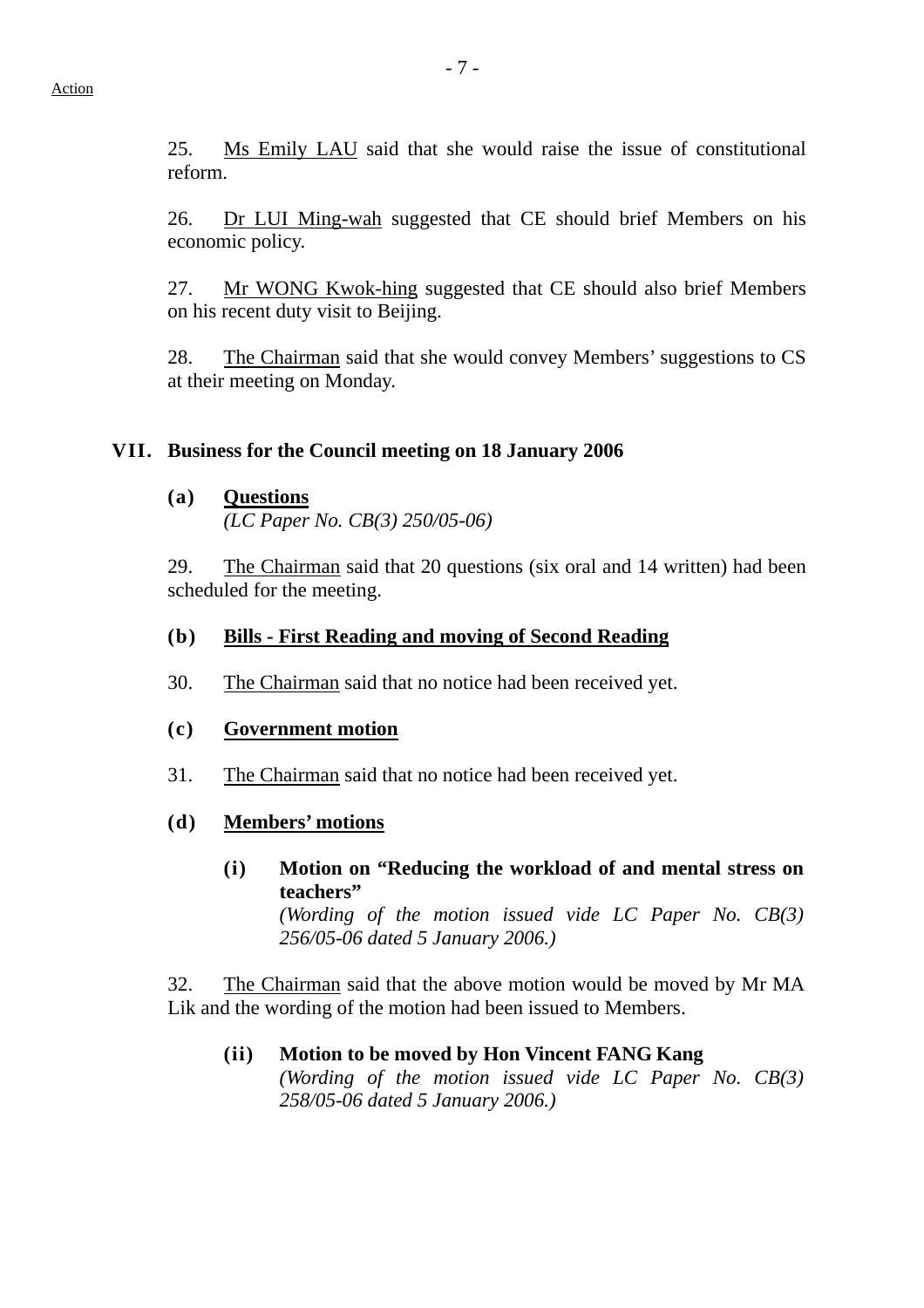25. Ms Emily LAU said that she would raise the issue of constitutional reform.

26. Dr LUI Ming-wah suggested that CE should brief Members on his economic policy.

27. Mr WONG Kwok-hing suggested that CE should also brief Members on his recent duty visit to Beijing.

28. The Chairman said that she would convey Members' suggestions to CS at their meeting on Monday.

### **VII. Business for the Council meeting on 18 January 2006**

**(a) Questions**

*(LC Paper No. CB(3) 250/05-06)* 

29. The Chairman said that 20 questions (six oral and 14 written) had been scheduled for the meeting.

#### **(b) Bills - First Reading and moving of Second Reading**

30. The Chairman said that no notice had been received yet.

#### **(c) Government motion**

31. The Chairman said that no notice had been received yet.

#### **(d) Members' motions**

**(i) Motion on "Reducing the workload of and mental stress on teachers"**  *(Wording of the motion issued vide LC Paper No. CB(3) 256/05-06 dated 5 January 2006.)* 

32. The Chairman said that the above motion would be moved by Mr MA Lik and the wording of the motion had been issued to Members.

#### **(ii) Motion to be moved by Hon Vincent FANG Kang**  *(Wording of the motion issued vide LC Paper No. CB(3) 258/05-06 dated 5 January 2006.)*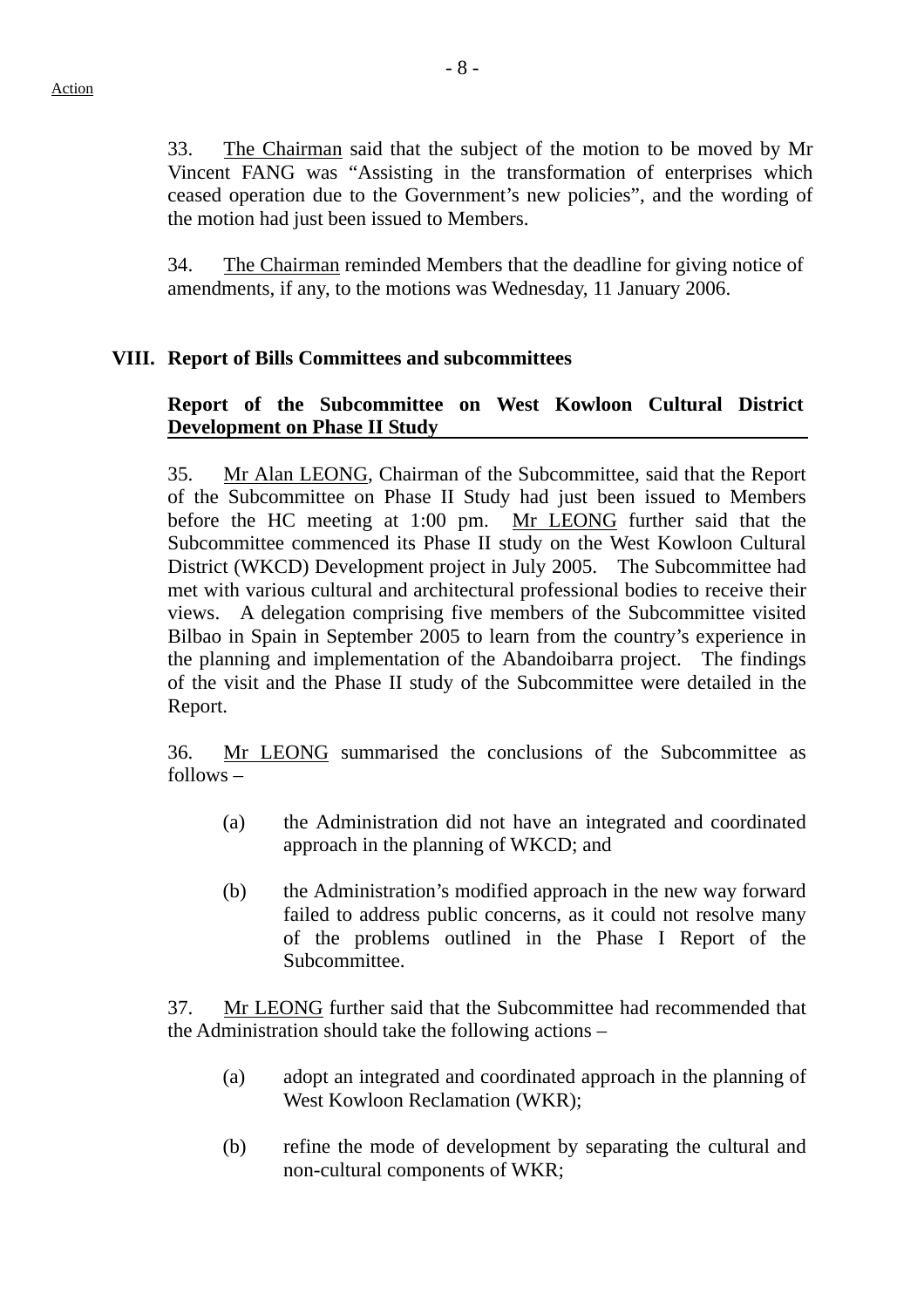- 8 -

33. The Chairman said that the subject of the motion to be moved by Mr Vincent FANG was "Assisting in the transformation of enterprises which ceased operation due to the Government's new policies", and the wording of the motion had just been issued to Members.

34. The Chairman reminded Members that the deadline for giving notice of amendments, if any, to the motions was Wednesday, 11 January 2006.

## **VIII. Report of Bills Committees and subcommittees**

## **Report of the Subcommittee on West Kowloon Cultural District Development on Phase II Study**

35. Mr Alan LEONG, Chairman of the Subcommittee, said that the Report of the Subcommittee on Phase II Study had just been issued to Members before the HC meeting at 1:00 pm. Mr LEONG further said that the Subcommittee commenced its Phase II study on the West Kowloon Cultural District (WKCD) Development project in July 2005. The Subcommittee had met with various cultural and architectural professional bodies to receive their views. A delegation comprising five members of the Subcommittee visited Bilbao in Spain in September 2005 to learn from the country's experience in the planning and implementation of the Abandoibarra project. The findings of the visit and the Phase II study of the Subcommittee were detailed in the Report.

36. Mr LEONG summarised the conclusions of the Subcommittee as follows –

- (a) the Administration did not have an integrated and coordinated approach in the planning of WKCD; and
- (b) the Administration's modified approach in the new way forward failed to address public concerns, as it could not resolve many of the problems outlined in the Phase I Report of the Subcommittee.

37. Mr LEONG further said that the Subcommittee had recommended that the Administration should take the following actions –

- (a) adopt an integrated and coordinated approach in the planning of West Kowloon Reclamation (WKR);
- (b) refine the mode of development by separating the cultural and non-cultural components of WKR;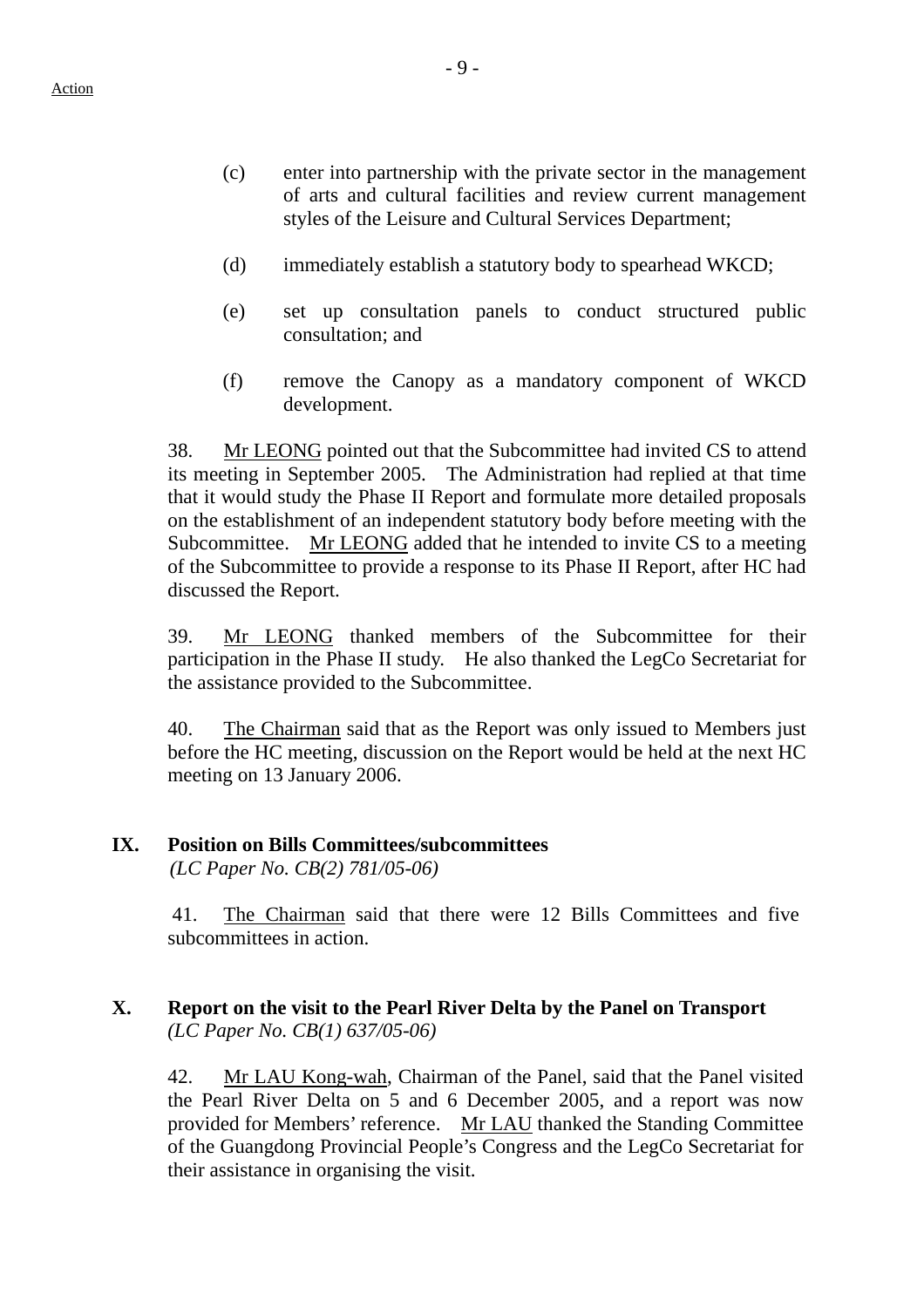- (c) enter into partnership with the private sector in the management of arts and cultural facilities and review current management styles of the Leisure and Cultural Services Department;
- (d) immediately establish a statutory body to spearhead WKCD;
- (e) set up consultation panels to conduct structured public consultation; and
- (f) remove the Canopy as a mandatory component of WKCD development.

38. Mr LEONG pointed out that the Subcommittee had invited CS to attend its meeting in September 2005. The Administration had replied at that time that it would study the Phase II Report and formulate more detailed proposals on the establishment of an independent statutory body before meeting with the Subcommittee. Mr LEONG added that he intended to invite CS to a meeting of the Subcommittee to provide a response to its Phase II Report, after HC had discussed the Report.

39. Mr LEONG thanked members of the Subcommittee for their participation in the Phase II study. He also thanked the LegCo Secretariat for the assistance provided to the Subcommittee.

40. The Chairman said that as the Report was only issued to Members just before the HC meeting, discussion on the Report would be held at the next HC meeting on 13 January 2006.

#### **IX. Position on Bills Committees/subcommittees**

*(LC Paper No. CB(2) 781/05-06)* 

41. The Chairman said that there were 12 Bills Committees and five subcommittees in action.

### **X. Report on the visit to the Pearl River Delta by the Panel on Transport** *(LC Paper No. CB(1) 637/05-06)*

42. Mr LAU Kong-wah, Chairman of the Panel, said that the Panel visited the Pearl River Delta on 5 and 6 December 2005, and a report was now provided for Members' reference. Mr LAU thanked the Standing Committee of the Guangdong Provincial People's Congress and the LegCo Secretariat for their assistance in organising the visit.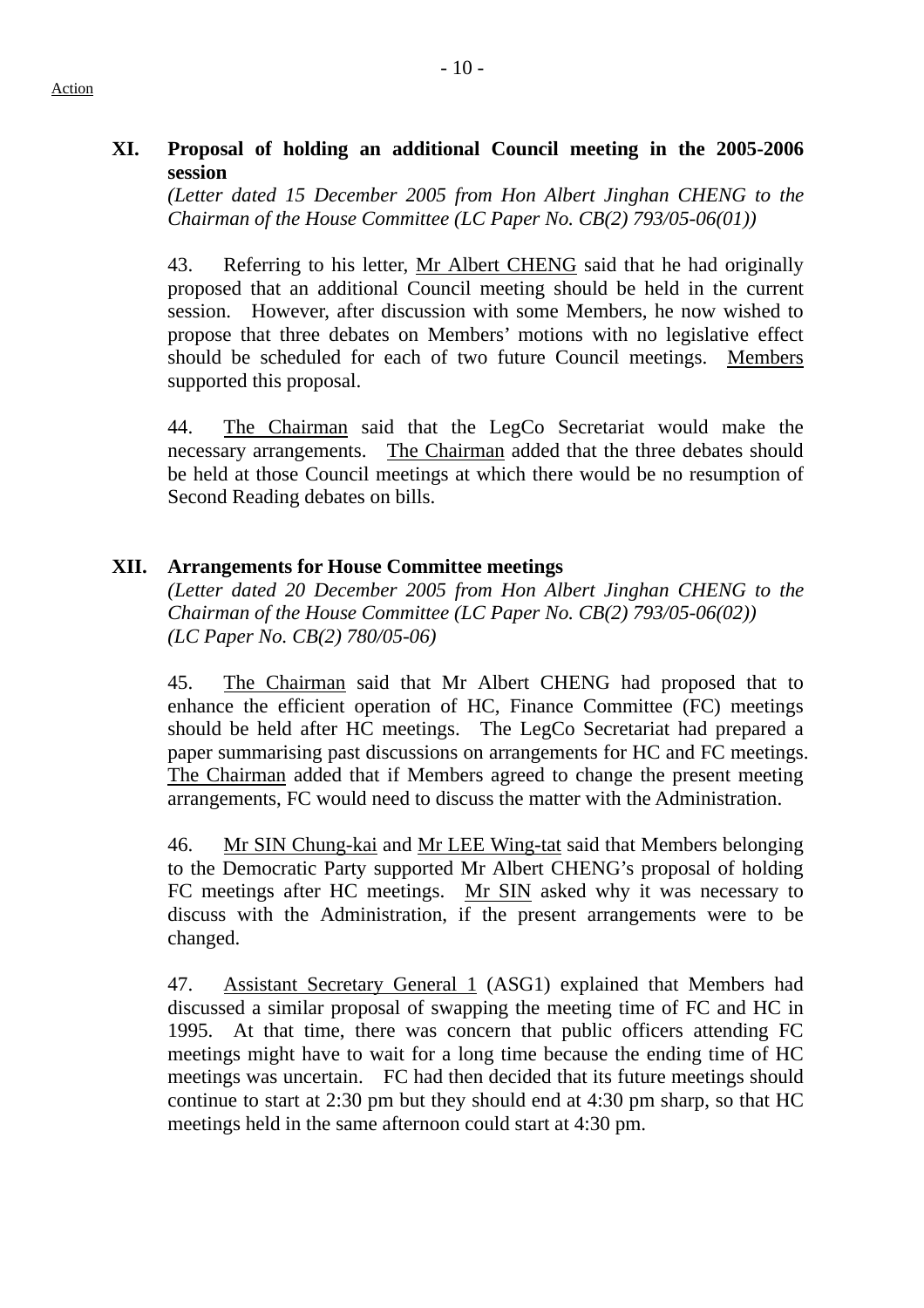## **XI. Proposal of holding an additional Council meeting in the 2005-2006 session**

*(Letter dated 15 December 2005 from Hon Albert Jinghan CHENG to the Chairman of the House Committee (LC Paper No. CB(2) 793/05-06(01))*

43. Referring to his letter, Mr Albert CHENG said that he had originally proposed that an additional Council meeting should be held in the current session. However, after discussion with some Members, he now wished to propose that three debates on Members' motions with no legislative effect should be scheduled for each of two future Council meetings. Members supported this proposal.

44. The Chairman said that the LegCo Secretariat would make the necessary arrangements. The Chairman added that the three debates should be held at those Council meetings at which there would be no resumption of Second Reading debates on bills.

# **XII. Arrangements for House Committee meetings**

*(Letter dated 20 December 2005 from Hon Albert Jinghan CHENG to the Chairman of the House Committee (LC Paper No. CB(2) 793/05-06(02)) (LC Paper No. CB(2) 780/05-06)* 

45. The Chairman said that Mr Albert CHENG had proposed that to enhance the efficient operation of HC, Finance Committee (FC) meetings should be held after HC meetings. The LegCo Secretariat had prepared a paper summarising past discussions on arrangements for HC and FC meetings. The Chairman added that if Members agreed to change the present meeting arrangements, FC would need to discuss the matter with the Administration.

46. Mr SIN Chung-kai and Mr LEE Wing-tat said that Members belonging to the Democratic Party supported Mr Albert CHENG's proposal of holding FC meetings after HC meetings. Mr SIN asked why it was necessary to discuss with the Administration, if the present arrangements were to be changed.

47. Assistant Secretary General 1 (ASG1) explained that Members had discussed a similar proposal of swapping the meeting time of FC and HC in 1995. At that time, there was concern that public officers attending FC meetings might have to wait for a long time because the ending time of HC meetings was uncertain. FC had then decided that its future meetings should continue to start at 2:30 pm but they should end at 4:30 pm sharp, so that HC meetings held in the same afternoon could start at 4:30 pm.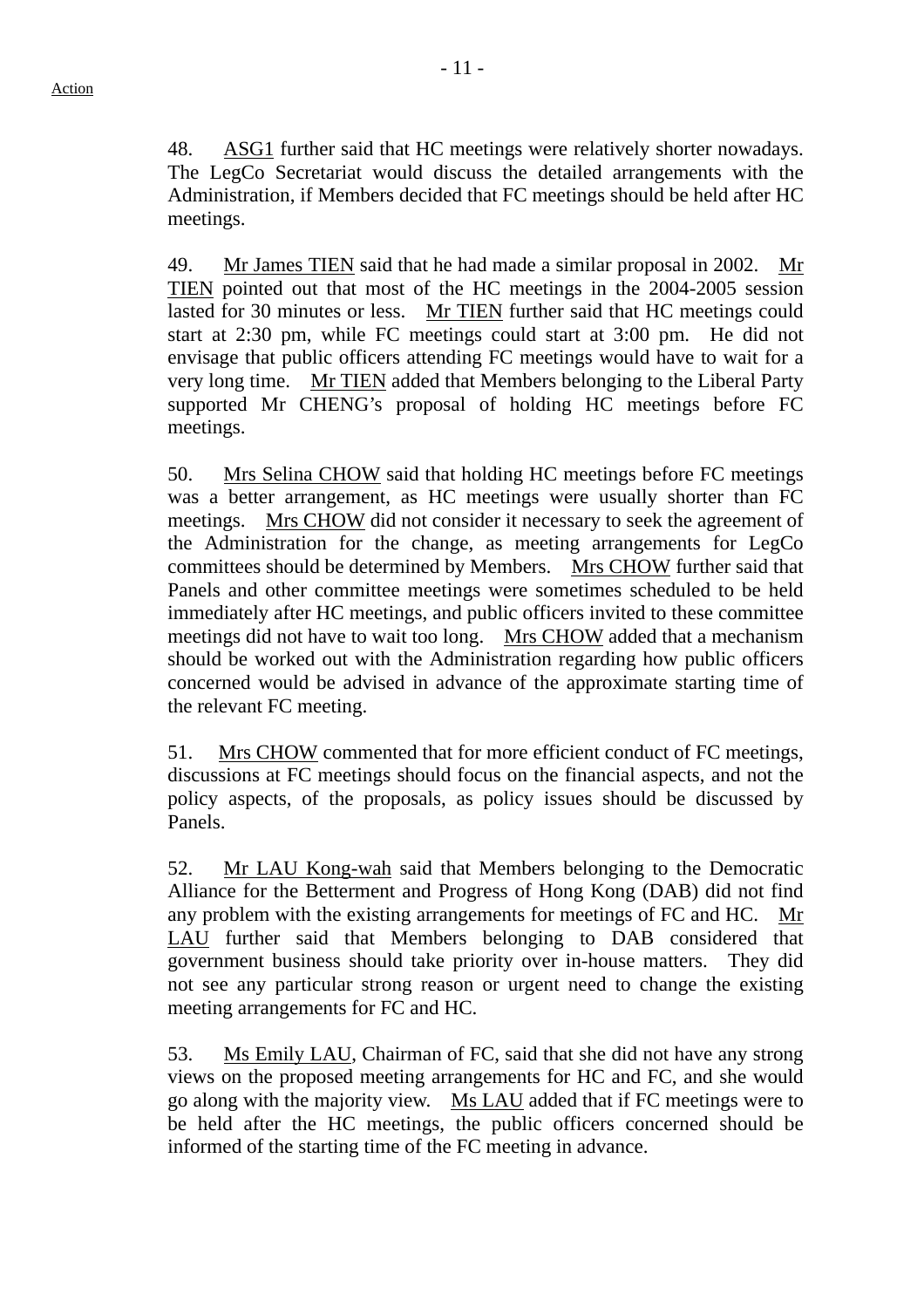48. ASG1 further said that HC meetings were relatively shorter nowadays. The LegCo Secretariat would discuss the detailed arrangements with the Administration, if Members decided that FC meetings should be held after HC meetings.

49. Mr James TIEN said that he had made a similar proposal in 2002. Mr TIEN pointed out that most of the HC meetings in the 2004-2005 session lasted for 30 minutes or less. Mr TIEN further said that HC meetings could start at 2:30 pm, while FC meetings could start at 3:00 pm. He did not envisage that public officers attending FC meetings would have to wait for a very long time. Mr TIEN added that Members belonging to the Liberal Party supported Mr CHENG's proposal of holding HC meetings before FC meetings.

50. Mrs Selina CHOW said that holding HC meetings before FC meetings was a better arrangement, as HC meetings were usually shorter than FC meetings. Mrs CHOW did not consider it necessary to seek the agreement of the Administration for the change, as meeting arrangements for LegCo committees should be determined by Members. Mrs CHOW further said that Panels and other committee meetings were sometimes scheduled to be held immediately after HC meetings, and public officers invited to these committee meetings did not have to wait too long. Mrs CHOW added that a mechanism should be worked out with the Administration regarding how public officers concerned would be advised in advance of the approximate starting time of the relevant FC meeting.

51. Mrs CHOW commented that for more efficient conduct of FC meetings, discussions at FC meetings should focus on the financial aspects, and not the policy aspects, of the proposals, as policy issues should be discussed by Panels.

52. Mr LAU Kong-wah said that Members belonging to the Democratic Alliance for the Betterment and Progress of Hong Kong (DAB) did not find any problem with the existing arrangements for meetings of FC and HC. Mr LAU further said that Members belonging to DAB considered that government business should take priority over in-house matters. They did not see any particular strong reason or urgent need to change the existing meeting arrangements for FC and HC.

53. Ms Emily LAU, Chairman of FC, said that she did not have any strong views on the proposed meeting arrangements for HC and FC, and she would go along with the majority view. Ms LAU added that if FC meetings were to be held after the HC meetings, the public officers concerned should be informed of the starting time of the FC meeting in advance.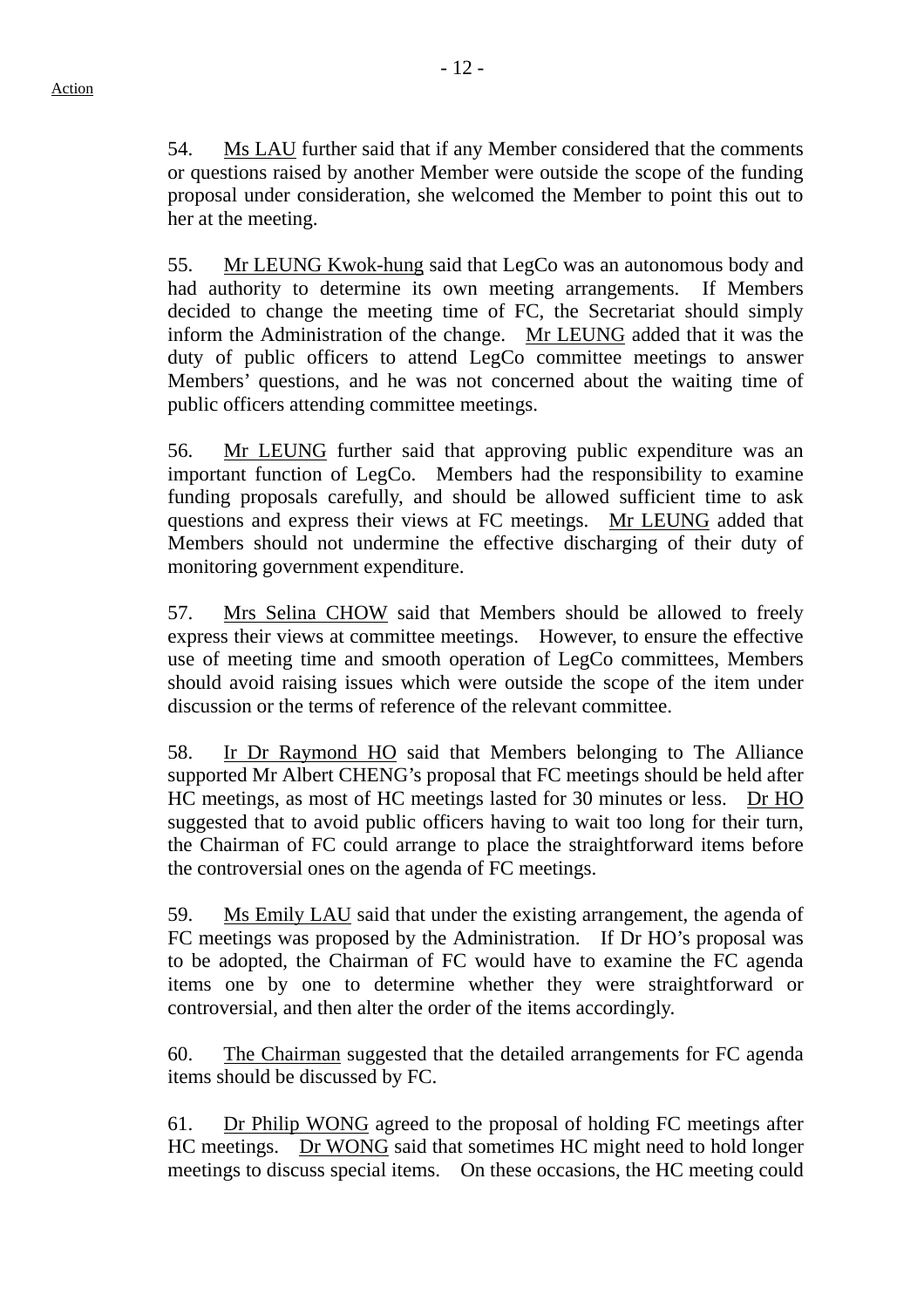54. Ms LAU further said that if any Member considered that the comments or questions raised by another Member were outside the scope of the funding proposal under consideration, she welcomed the Member to point this out to her at the meeting.

55. Mr LEUNG Kwok-hung said that LegCo was an autonomous body and had authority to determine its own meeting arrangements. If Members decided to change the meeting time of FC, the Secretariat should simply inform the Administration of the change. Mr LEUNG added that it was the duty of public officers to attend LegCo committee meetings to answer Members' questions, and he was not concerned about the waiting time of public officers attending committee meetings.

56. Mr LEUNG further said that approving public expenditure was an important function of LegCo. Members had the responsibility to examine funding proposals carefully, and should be allowed sufficient time to ask questions and express their views at FC meetings. Mr LEUNG added that Members should not undermine the effective discharging of their duty of monitoring government expenditure.

57. Mrs Selina CHOW said that Members should be allowed to freely express their views at committee meetings. However, to ensure the effective use of meeting time and smooth operation of LegCo committees, Members should avoid raising issues which were outside the scope of the item under discussion or the terms of reference of the relevant committee.

58. Ir Dr Raymond HO said that Members belonging to The Alliance supported Mr Albert CHENG's proposal that FC meetings should be held after HC meetings, as most of HC meetings lasted for 30 minutes or less. Dr HO suggested that to avoid public officers having to wait too long for their turn, the Chairman of FC could arrange to place the straightforward items before the controversial ones on the agenda of FC meetings.

59. Ms Emily LAU said that under the existing arrangement, the agenda of FC meetings was proposed by the Administration. If Dr HO's proposal was to be adopted, the Chairman of FC would have to examine the FC agenda items one by one to determine whether they were straightforward or controversial, and then alter the order of the items accordingly.

60. The Chairman suggested that the detailed arrangements for FC agenda items should be discussed by FC.

61. Dr Philip WONG agreed to the proposal of holding FC meetings after HC meetings. Dr WONG said that sometimes HC might need to hold longer meetings to discuss special items. On these occasions, the HC meeting could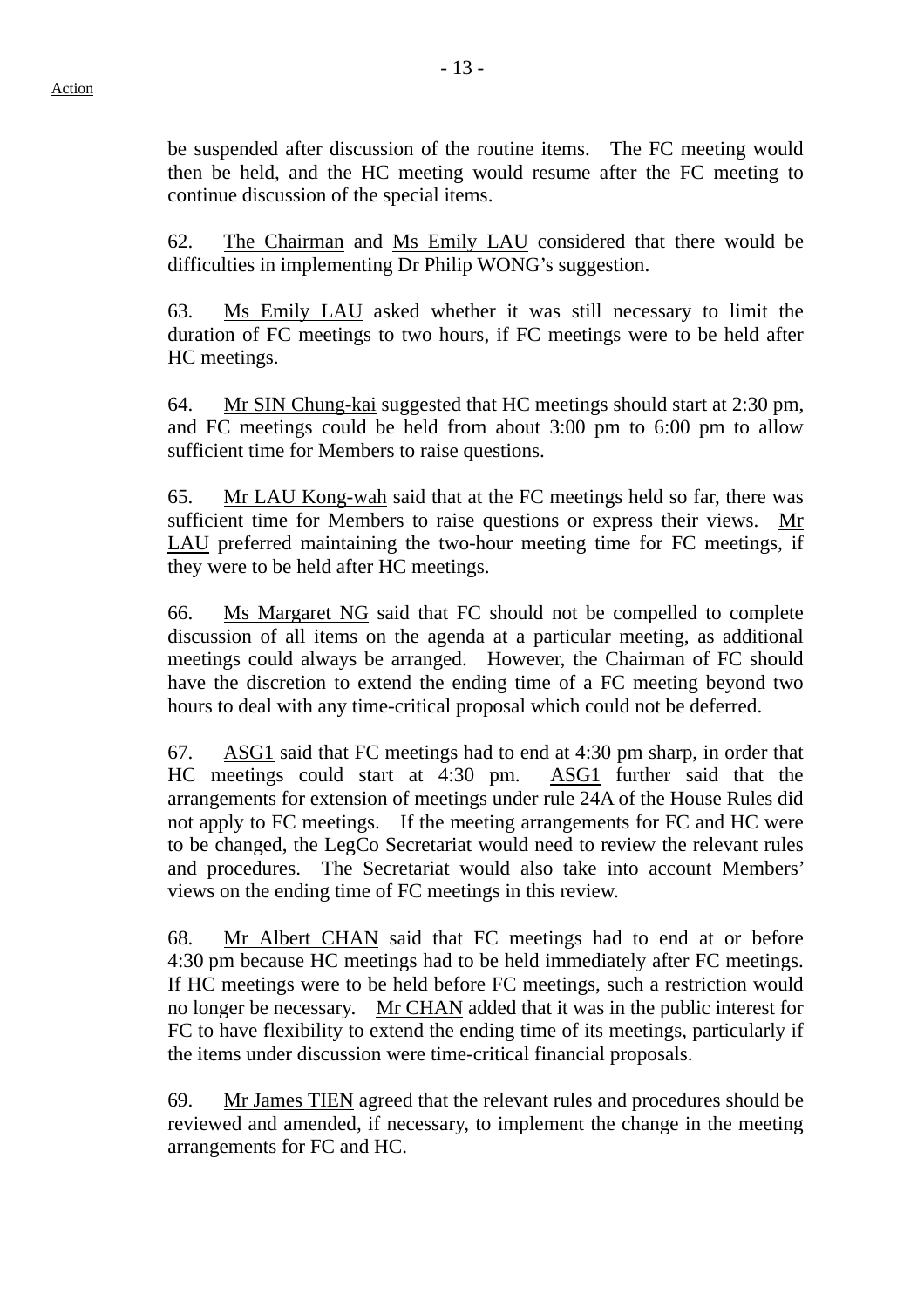be suspended after discussion of the routine items. The FC meeting would then be held, and the HC meeting would resume after the FC meeting to continue discussion of the special items.

62. The Chairman and Ms Emily LAU considered that there would be difficulties in implementing Dr Philip WONG's suggestion.

63. Ms Emily LAU asked whether it was still necessary to limit the duration of FC meetings to two hours, if FC meetings were to be held after HC meetings.

64. Mr SIN Chung-kai suggested that HC meetings should start at 2:30 pm, and FC meetings could be held from about 3:00 pm to 6:00 pm to allow sufficient time for Members to raise questions.

65. Mr LAU Kong-wah said that at the FC meetings held so far, there was sufficient time for Members to raise questions or express their views. Mr LAU preferred maintaining the two-hour meeting time for FC meetings, if they were to be held after HC meetings.

66. Ms Margaret NG said that FC should not be compelled to complete discussion of all items on the agenda at a particular meeting, as additional meetings could always be arranged. However, the Chairman of FC should have the discretion to extend the ending time of a FC meeting beyond two hours to deal with any time-critical proposal which could not be deferred.

67. ASG1 said that FC meetings had to end at 4:30 pm sharp, in order that HC meetings could start at 4:30 pm. ASG1 further said that the arrangements for extension of meetings under rule 24A of the House Rules did not apply to FC meetings. If the meeting arrangements for FC and HC were to be changed, the LegCo Secretariat would need to review the relevant rules and procedures. The Secretariat would also take into account Members' views on the ending time of FC meetings in this review.

68. Mr Albert CHAN said that FC meetings had to end at or before 4:30 pm because HC meetings had to be held immediately after FC meetings. If HC meetings were to be held before FC meetings, such a restriction would no longer be necessary. Mr CHAN added that it was in the public interest for FC to have flexibility to extend the ending time of its meetings, particularly if the items under discussion were time-critical financial proposals.

69. Mr James TIEN agreed that the relevant rules and procedures should be reviewed and amended, if necessary, to implement the change in the meeting arrangements for FC and HC.